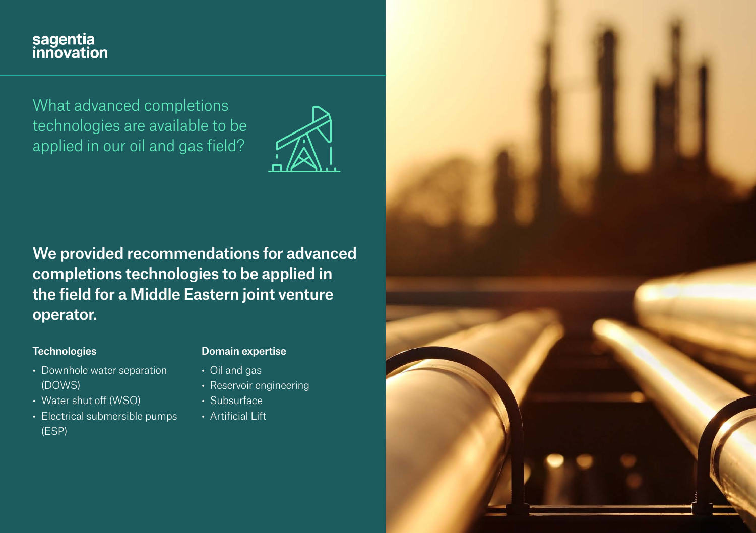# sagentia<br>innovation

What advanced completions technologies are available to be applied in our oil and gas field?



We provided recommendations for advanced completions technologies to be applied in the field for a Middle Eastern joint venture operator.

### **Technologies**

- Downhole water separation (DOWS)
- Water shut off (WSO)
- Electrical submersible pumps (ESP)

## Domain expertise

- Oil and gas
- Reservoir engineering
- Subsurface
- Artificial Lift